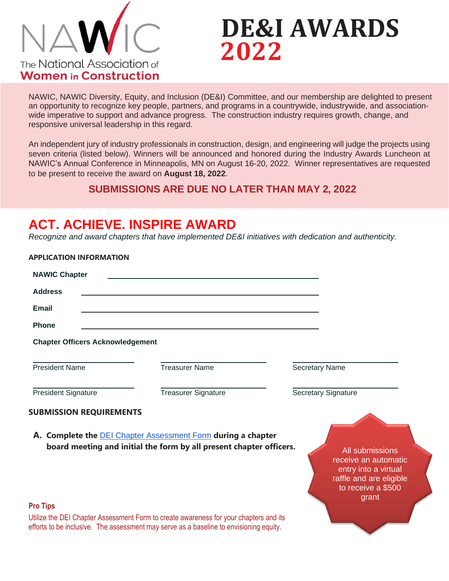

**APPLICATION INFORMATION**

# **DE&I AWARDS 2022**

NAWIC, NAWIC Diversity, Equity, and Inclusion (DE&I) Committee, and our membership are delighted to present an opportunity to recognize key people, partners, and programs in a countrywide, industrywide, and associationwide imperative to support and advance progress. The construction industry requires growth, change, and responsive universal leadership in this regard.

An independent jury of industry professionals in construction, design, and engineering will judge the projects using seven criteria (listed below). Winners will be announced and honored during the Industry Awards Luncheon at NAWIC's Annual Conference in Minneapolis, MN on August 16-20, 2022. Winner representatives are requested to be present to receive the award on **August 18, 2022**.

#### **SUBMISSIONS ARE DUE NO LATER THAN MAY 2, 2022**

### **ACT. ACHIEVE. INSPIRE AWARD**

*Recognize and award chapters that have implemented DE&I initiatives with dedication and authenticity.*

| APPLICATION INFOKMATION                 |                                                                                                                                                                                 |                                                                                                                           |
|-----------------------------------------|---------------------------------------------------------------------------------------------------------------------------------------------------------------------------------|---------------------------------------------------------------------------------------------------------------------------|
| <b>NAWIC Chapter</b>                    |                                                                                                                                                                                 |                                                                                                                           |
| <b>Address</b>                          |                                                                                                                                                                                 |                                                                                                                           |
| <b>Email</b>                            |                                                                                                                                                                                 |                                                                                                                           |
| <b>Phone</b>                            |                                                                                                                                                                                 |                                                                                                                           |
| <b>Chapter Officers Acknowledgement</b> |                                                                                                                                                                                 |                                                                                                                           |
| <b>President Name</b>                   | <b>Treasurer Name</b>                                                                                                                                                           | <b>Secretary Name</b>                                                                                                     |
| <b>President Signature</b>              | <b>Treasurer Signature</b>                                                                                                                                                      | <b>Secretary Signature</b>                                                                                                |
| <b>SUBMISSION REQUIREMENTS</b>          | A. Complete the <b>DEI Chapter Assessment Form</b> during a chapter                                                                                                             |                                                                                                                           |
|                                         | board meeting and initial the form by all present chapter officers.                                                                                                             | All submissions<br>receive an automatic<br>entry into a virtual<br>raffle and are eligible<br>to receive a \$500<br>grant |
| <b>Pro Tips</b>                         |                                                                                                                                                                                 |                                                                                                                           |
|                                         | Utilize the DEI Chapter Assessment Form to create awareness for your chapters and its<br>efforts to be inclusive. The assessment may serve as a baseline to envisioning equity. |                                                                                                                           |